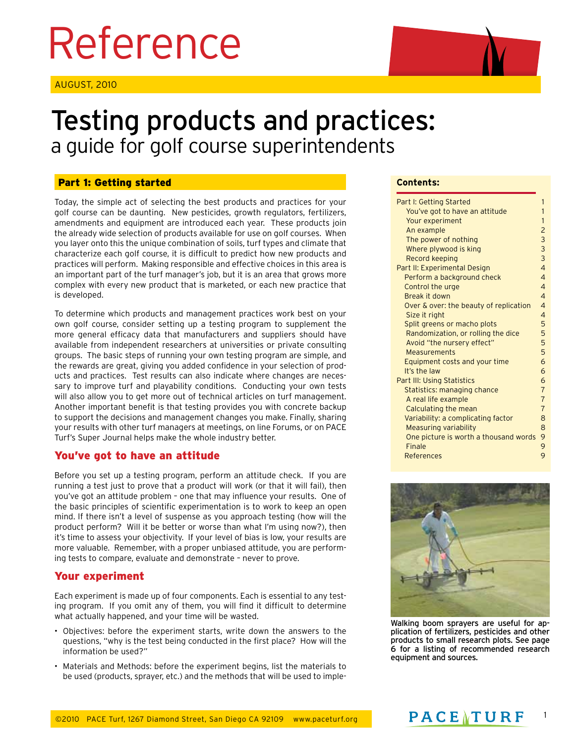# Reference

AUGUST, 2010



## Testing products and practices: a guide for golf course superintendents

#### Part 1: Getting started

Today, the simple act of selecting the best products and practices for your golf course can be daunting. New pesticides, growth regulators, fertilizers, amendments and equipment are introduced each year. These products join the already wide selection of products available for use on golf courses. When you layer onto this the unique combination of soils, turf types and climate that characterize each golf course, it is difficult to predict how new products and practices will perform. Making responsible and effective choices in this area is an important part of the turf manager's job, but it is an area that grows more complex with every new product that is marketed, or each new practice that is developed.

To determine which products and management practices work best on your own golf course, consider setting up a testing program to supplement the more general efficacy data that manufacturers and suppliers should have available from independent researchers at universities or private consulting groups. The basic steps of running your own testing program are simple, and the rewards are great, giving you added confidence in your selection of products and practices. Test results can also indicate where changes are necessary to improve turf and playability conditions. Conducting your own tests will also allow you to get more out of technical articles on turf management. Another important benefit is that testing provides you with concrete backup to support the decisions and management changes you make. Finally, sharing your results with other turf managers at meetings, on line Forums, or on PACE Turf's Super Journal helps make the whole industry better.

#### You've got to have an attitude

Before you set up a testing program, perform an attitude check. If you are running a test just to prove that a product will work (or that it will fail), then you've got an attitude problem – one that may influence your results. One of the basic principles of scientific experimentation is to work to keep an open mind. If there isn't a level of suspense as you approach testing (how will the product perform? Will it be better or worse than what I'm using now?), then it's time to assess your objectivity. If your level of bias is low, your results are more valuable. Remember, with a proper unbiased attitude, you are performing tests to compare, evaluate and demonstrate – never to prove.

#### Your experiment

Each experiment is made up of four components. Each is essential to any testing program. If you omit any of them, you will find it difficult to determine what actually happened, and your time will be wasted.

- Objectives: before the experiment starts, write down the answers to the questions, "why is the test being conducted in the first place? How will the information be used?"
- Materials and Methods: before the experiment begins, list the materials to be used (products, sprayer, etc.) and the methods that will be used to imple-

#### **Contents:**

| Part I: Getting Started                | 1              |
|----------------------------------------|----------------|
| You've got to have an attitude         | 1              |
| Your experiment                        | 1              |
| An example                             | $\overline{c}$ |
| The power of nothing                   | 3              |
| Where plywood is king                  | 3              |
| Record keeping                         | 3              |
| Part II: Experimental Design           | $\overline{4}$ |
| Perform a background check             | $\overline{4}$ |
| Control the urge                       | $\overline{4}$ |
| Break it down                          | 4              |
| Over & over: the beauty of replication | $\overline{4}$ |
| Size it right                          | 4              |
| Split greens or macho plots            | 5              |
| Randomization, or rolling the dice     | 5              |
| Avoid "the nursery effect"             | 5              |
| Measurements                           | 5              |
| Equipment costs and your time          | 6              |
| It's the law                           | 6              |
| <b>Part III: Using Statistics</b>      | 6              |
| Statistics: managing chance            | $\overline{7}$ |
| A real life example                    | $\overline{7}$ |
| Calculating the mean                   | $\overline{7}$ |
| Variability: a complicating factor     | 8              |
| <b>Measuring variability</b>           | 8              |
| One picture is worth a thousand words  | 9              |
| Finale                                 | 9              |
| References                             | 9              |



Walking boom sprayers are useful for application of fertilizers, pesticides and other products to small research plots. See page 6 for a listing of recommended research equipment and sources.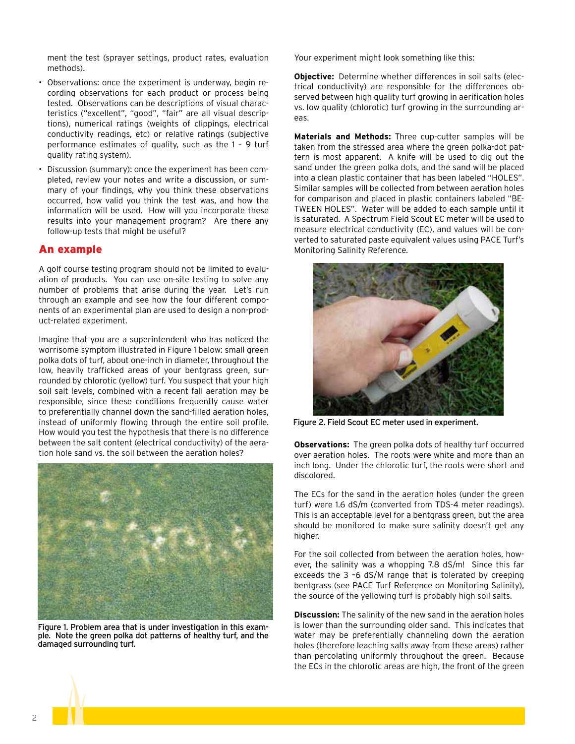ment the test (sprayer settings, product rates, evaluation methods).

- Observations: once the experiment is underway, begin recording observations for each product or process being tested. Observations can be descriptions of visual characteristics ("excellent", "good", "fair" are all visual descriptions), numerical ratings (weights of clippings, electrical conductivity readings, etc) or relative ratings (subjective performance estimates of quality, such as the 1 – 9 turf quality rating system).
- Discussion (summary): once the experiment has been completed, review your notes and write a discussion, or summary of your findings, why you think these observations occurred, how valid you think the test was, and how the information will be used. How will you incorporate these results into your management program? Are there any follow-up tests that might be useful?

#### An example

A golf course testing program should not be limited to evaluation of products. You can use on-site testing to solve any number of problems that arise during the year. Let's run through an example and see how the four different components of an experimental plan are used to design a non-product-related experiment.

Imagine that you are a superintendent who has noticed the worrisome symptom illustrated in Figure 1 below: small green polka dots of turf, about one-inch in diameter, throughout the low, heavily trafficked areas of your bentgrass green, surrounded by chlorotic (yellow) turf. You suspect that your high soil salt levels, combined with a recent fall aeration may be responsible, since these conditions frequently cause water to preferentially channel down the sand-filled aeration holes, instead of uniformly flowing through the entire soil profile. How would you test the hypothesis that there is no difference between the salt content (electrical conductivity) of the aeration hole sand vs. the soil between the aeration holes?



Figure 1. Problem area that is under investigation in this example. Note the green polka dot patterns of healthy turf, and the damaged surrounding turf.

Your experiment might look something like this:

**Objective:** Determine whether differences in soil salts (electrical conductivity) are responsible for the differences observed between high quality turf growing in aerification holes vs. low quality (chlorotic) turf growing in the surrounding areas.

**Materials and Methods:** Three cup-cutter samples will be taken from the stressed area where the green polka-dot pattern is most apparent. A knife will be used to dig out the sand under the green polka dots, and the sand will be placed into a clean plastic container that has been labeled "HOLES". Similar samples will be collected from between aeration holes for comparison and placed in plastic containers labeled "BE-TWEEN HOLES". Water will be added to each sample until it is saturated. A Spectrum Field Scout EC meter will be used to measure electrical conductivity (EC), and values will be converted to saturated paste equivalent values using PACE Turf's Monitoring Salinity Reference.



Figure 2. Field Scout EC meter used in experiment.

**Observations:** The green polka dots of healthy turf occurred over aeration holes. The roots were white and more than an inch long. Under the chlorotic turf, the roots were short and discolored.

The ECs for the sand in the aeration holes (under the green turf) were 1.6 dS/m (converted from TDS-4 meter readings). This is an acceptable level for a bentgrass green, but the area should be monitored to make sure salinity doesn't get any higher.

For the soil collected from between the aeration holes, however, the salinity was a whopping 7.8 dS/m! Since this far exceeds the 3 –6 dS/M range that is tolerated by creeping bentgrass (see PACE Turf Reference on Monitoring Salinity), the source of the yellowing turf is probably high soil salts.

**Discussion:** The salinity of the new sand in the aeration holes is lower than the surrounding older sand. This indicates that water may be preferentially channeling down the aeration holes (therefore leaching salts away from these areas) rather than percolating uniformly throughout the green. Because the ECs in the chlorotic areas are high, the front of the green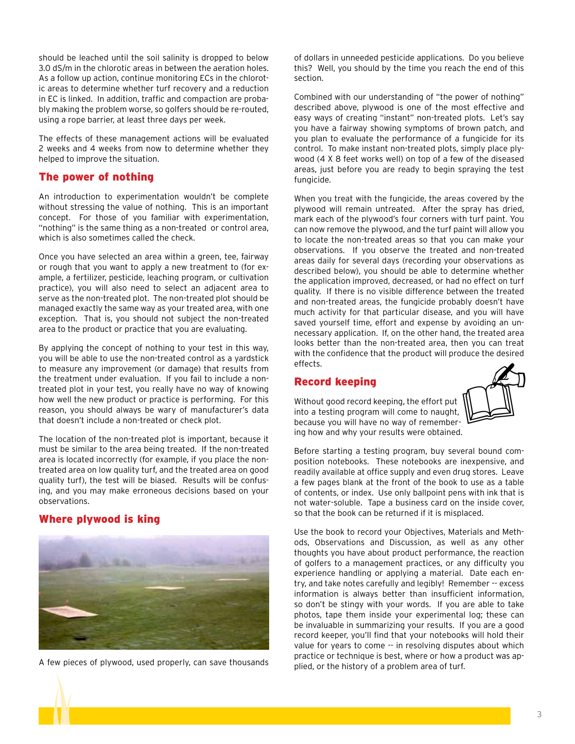should be leached until the soil salinity is dropped to below 3.0 dS/m in the chlorotic areas in between the aeration holes. As a follow up action, continue monitoring ECs in the chlorotic areas to determine whether turf recovery and a reduction in EC is linked. In addition, traffic and compaction are probably making the problem worse, so golfers should be re-routed, using a rope barrier, at least three days per week.

The effects of these management actions will be evaluated 2 weeks and 4 weeks from now to determine whether they helped to improve the situation.

#### The power of nothing

An introduction to experimentation wouldn't be complete without stressing the value of nothing. This is an important concept. For those of you familiar with experimentation, "nothing" is the same thing as a non-treated or control area, which is also sometimes called the check.

Once you have selected an area within a green, tee, fairway or rough that you want to apply a new treatment to (for example, a fertilizer, pesticide, leaching program, or cultivation practice), you will also need to select an adjacent area to serve as the non-treated plot. The non-treated plot should be managed exactly the same way as your treated area, with one exception. That is, you should not subject the non-treated area to the product or practice that you are evaluating.

By applying the concept of nothing to your test in this way, you will be able to use the non-treated control as a yardstick to measure any improvement (or damage) that results from the treatment under evaluation. If you fail to include a nontreated plot in your test, you really have no way of knowing how well the new product or practice is performing. For this reason, you should always be wary of manufacturer's data that doesn't include a non-treated or check plot.

The location of the non-treated plot is important, because it must be similar to the area being treated. If the non-treated area is located incorrectly (for example, if you place the nontreated area on low quality turf, and the treated area on good quality turf), the test will be biased. Results will be confusing, and you may make erroneous decisions based on your observations.

#### Where plywood is king



A few pieces of plywood, used properly, can save thousands

of dollars in unneeded pesticide applications. Do you believe this? Well, you should by the time you reach the end of this section.

Combined with our understanding of "the power of nothing" described above, plywood is one of the most effective and easy ways of creating "instant" non-treated plots. Let's say you have a fairway showing symptoms of brown patch, and you plan to evaluate the performance of a fungicide for its control. To make instant non-treated plots, simply place plywood (4 X 8 feet works well) on top of a few of the diseased areas, just before you are ready to begin spraying the test fungicide.

When you treat with the fungicide, the areas covered by the plywood will remain untreated. After the spray has dried, mark each of the plywood's four corners with turf paint. You can now remove the plywood, and the turf paint will allow you to locate the non-treated areas so that you can make your observations. If you observe the treated and non-treated areas daily for several days (recording your observations as described below), you should be able to determine whether the application improved, decreased, or had no effect on turf quality. If there is no visible difference between the treated and non-treated areas, the fungicide probably doesn't have much activity for that particular disease, and you will have saved yourself time, effort and expense by avoiding an unnecessary application. If, on the other hand, the treated area looks better than the non-treated area, then you can treat with the confidence that the product will produce the desired effects.

#### Record keeping

Without good record keeping, the effort put into a testing program will come to naught, because you will have no way of remembering how and why your results were obtained.



Before starting a testing program, buy several bound composition notebooks. These notebooks are inexpensive, and readily available at office supply and even drug stores. Leave a few pages blank at the front of the book to use as a table of contents, or index. Use only ballpoint pens with ink that is not water-soluble. Tape a business card on the inside cover, so that the book can be returned if it is misplaced.

Use the book to record your Objectives, Materials and Methods, Observations and Discussion, as well as any other thoughts you have about product performance, the reaction of golfers to a management practices, or any difficulty you experience handling or applying a material. Date each entry, and take notes carefully and legibly! Remember -- excess information is always better than insufficient information, so don't be stingy with your words. If you are able to take photos, tape them inside your experimental log; these can be invaluable in summarizing your results. If you are a good record keeper, you'll find that your notebooks will hold their value for years to come -- in resolving disputes about which practice or technique is best, where or how a product was applied, or the history of a problem area of turf.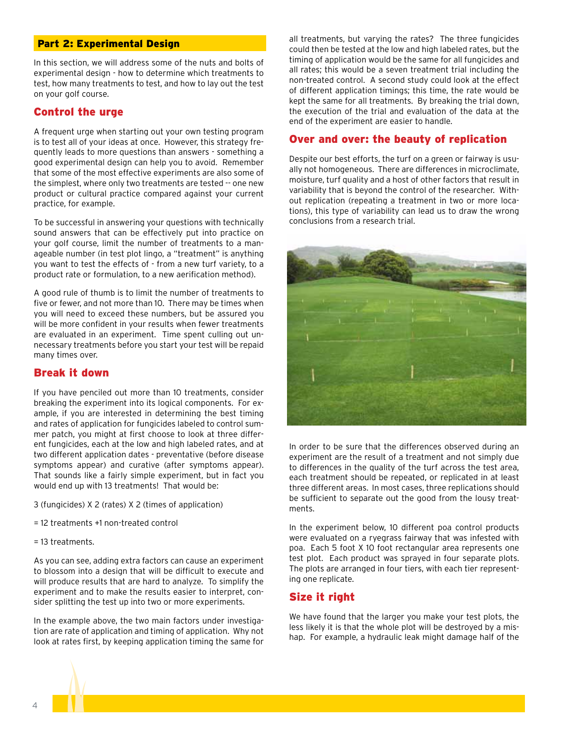#### Part 2: Experimental Design

In this section, we will address some of the nuts and bolts of experimental design - how to determine which treatments to test, how many treatments to test, and how to lay out the test on your golf course.

#### Control the urge

A frequent urge when starting out your own testing program is to test all of your ideas at once. However, this strategy frequently leads to more questions than answers - something a good experimental design can help you to avoid. Remember that some of the most effective experiments are also some of the simplest, where only two treatments are tested -- one new product or cultural practice compared against your current practice, for example.

To be successful in answering your questions with technically sound answers that can be effectively put into practice on your golf course, limit the number of treatments to a manageable number (in test plot lingo, a "treatment" is anything you want to test the effects of - from a new turf variety, to a product rate or formulation, to a new aerification method).

A good rule of thumb is to limit the number of treatments to five or fewer, and not more than 10. There may be times when you will need to exceed these numbers, but be assured you will be more confident in your results when fewer treatments are evaluated in an experiment. Time spent culling out unnecessary treatments before you start your test will be repaid many times over.

#### Break it down

If you have penciled out more than 10 treatments, consider breaking the experiment into its logical components. For example, if you are interested in determining the best timing and rates of application for fungicides labeled to control summer patch, you might at first choose to look at three different fungicides, each at the low and high labeled rates, and at two different application dates - preventative (before disease symptoms appear) and curative (after symptoms appear). That sounds like a fairly simple experiment, but in fact you would end up with 13 treatments! That would be:

3 (fungicides) X 2 (rates) X 2 (times of application)

- = 12 treatments +1 non-treated control
- = 13 treatments.

As you can see, adding extra factors can cause an experiment to blossom into a design that will be difficult to execute and will produce results that are hard to analyze. To simplify the experiment and to make the results easier to interpret, consider splitting the test up into two or more experiments.

In the example above, the two main factors under investigation are rate of application and timing of application. Why not look at rates first, by keeping application timing the same for all treatments, but varying the rates? The three fungicides could then be tested at the low and high labeled rates, but the timing of application would be the same for all fungicides and all rates; this would be a seven treatment trial including the non-treated control. A second study could look at the effect of different application timings; this time, the rate would be kept the same for all treatments. By breaking the trial down, the execution of the trial and evaluation of the data at the end of the experiment are easier to handle.

#### Over and over: the beauty of replication

Despite our best efforts, the turf on a green or fairway is usually not homogeneous. There are differences in microclimate, moisture, turf quality and a host of other factors that result in variability that is beyond the control of the researcher. Without replication (repeating a treatment in two or more locations), this type of variability can lead us to draw the wrong conclusions from a research trial.



In order to be sure that the differences observed during an experiment are the result of a treatment and not simply due to differences in the quality of the turf across the test area, each treatment should be repeated, or replicated in at least three different areas. In most cases, three replications should be sufficient to separate out the good from the lousy treatments.

In the experiment below, 10 different poa control products were evaluated on a ryegrass fairway that was infested with poa. Each 5 foot X 10 foot rectangular area represents one test plot. Each product was sprayed in four separate plots. The plots are arranged in four tiers, with each tier representing one replicate.

#### Size it right

We have found that the larger you make your test plots, the less likely it is that the whole plot will be destroyed by a mishap. For example, a hydraulic leak might damage half of the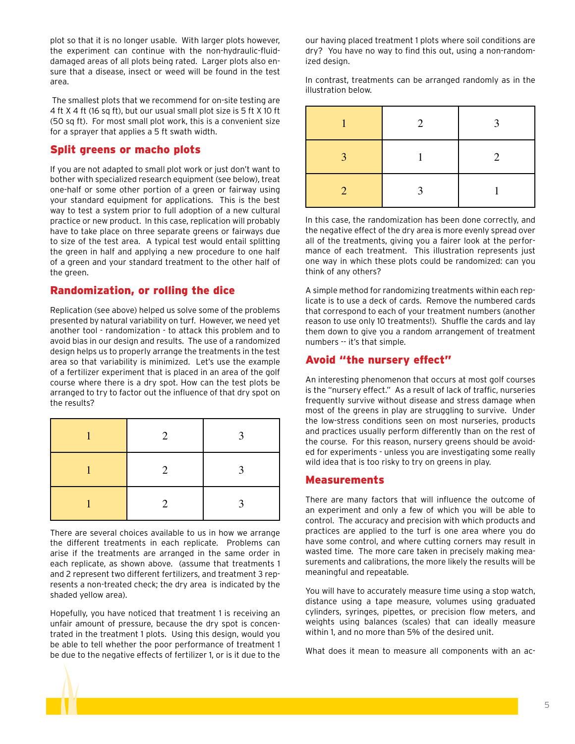plot so that it is no longer usable. With larger plots however, the experiment can continue with the non-hydraulic-fluiddamaged areas of all plots being rated. Larger plots also ensure that a disease, insect or weed will be found in the test area.

 The smallest plots that we recommend for on-site testing are 4 ft X 4 ft (16 sq ft), but our usual small plot size is 5 ft X 10 ft (50 sq ft). For most small plot work, this is a convenient size for a sprayer that applies a 5 ft swath width.

#### Split greens or macho plots

If you are not adapted to small plot work or just don't want to bother with specialized research equipment (see below), treat one-half or some other portion of a green or fairway using your standard equipment for applications. This is the best way to test a system prior to full adoption of a new cultural practice or new product. In this case, replication will probably have to take place on three separate greens or fairways due to size of the test area. A typical test would entail splitting the green in half and applying a new procedure to one half of a green and your standard treatment to the other half of the green.

#### Randomization, or rolling the dice

Replication (see above) helped us solve some of the problems presented by natural variability on turf. However, we need yet another tool - randomization - to attack this problem and to avoid bias in our design and results. The use of a randomized design helps us to properly arrange the treatments in the test area so that variability is minimized. Let's use the example of a fertilizer experiment that is placed in an area of the golf course where there is a dry spot. How can the test plots be arranged to try to factor out the influence of that dry spot on the results?

| 2 | 2 |
|---|---|
| 2 | 2 |
| 2 | 2 |

There are several choices available to us in how we arrange the different treatments in each replicate. Problems can arise if the treatments are arranged in the same order in each replicate, as shown above. (assume that treatments 1 and 2 represent two different fertilizers, and treatment 3 represents a non-treated check; the dry area is indicated by the shaded yellow area).

Hopefully, you have noticed that treatment 1 is receiving an unfair amount of pressure, because the dry spot is concentrated in the treatment 1 plots. Using this design, would you be able to tell whether the poor performance of treatment 1 be due to the negative effects of fertilizer 1, or is it due to the our having placed treatment 1 plots where soil conditions are dry? You have no way to find this out, using a non-randomized design.

In contrast, treatments can be arranged randomly as in the illustration below.

|               | 2 | ว |
|---------------|---|---|
| $\mathbf{R}$  |   | 2 |
| $\mathcal{D}$ |   |   |

In this case, the randomization has been done correctly, and the negative effect of the dry area is more evenly spread over all of the treatments, giving you a fairer look at the performance of each treatment. This illustration represents just one way in which these plots could be randomized: can you think of any others?

A simple method for randomizing treatments within each replicate is to use a deck of cards. Remove the numbered cards that correspond to each of your treatment numbers (another reason to use only 10 treatments!). Shuffle the cards and lay them down to give you a random arrangement of treatment numbers -- it's that simple.

#### Avoid "the nursery effect"

An interesting phenomenon that occurs at most golf courses is the "nursery effect." As a result of lack of traffic, nurseries frequently survive without disease and stress damage when most of the greens in play are struggling to survive. Under the low-stress conditions seen on most nurseries, products and practices usually perform differently than on the rest of the course. For this reason, nursery greens should be avoided for experiments - unless you are investigating some really wild idea that is too risky to try on greens in play.

#### Measurements

There are many factors that will influence the outcome of an experiment and only a few of which you will be able to control. The accuracy and precision with which products and practices are applied to the turf is one area where you do have some control, and where cutting corners may result in wasted time. The more care taken in precisely making measurements and calibrations, the more likely the results will be meaningful and repeatable.

You will have to accurately measure time using a stop watch, distance using a tape measure, volumes using graduated cylinders, syringes, pipettes, or precision flow meters, and weights using balances (scales) that can ideally measure within 1, and no more than 5% of the desired unit.

What does it mean to measure all components with an ac-

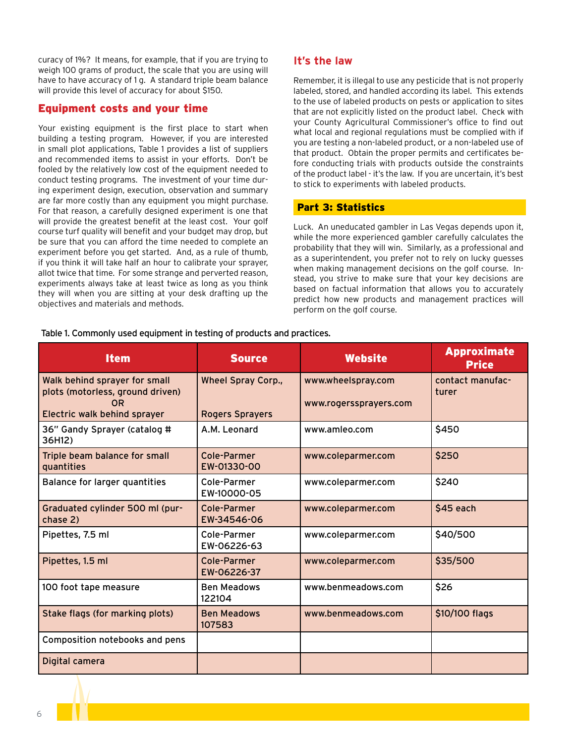curacy of 1%? It means, for example, that if you are trying to weigh 100 grams of product, the scale that you are using will have to have accuracy of 1 g. A standard triple beam balance will provide this level of accuracy for about \$150.

#### Equipment costs and your time

Your existing equipment is the first place to start when building a testing program. However, if you are interested in small plot applications, Table 1 provides a list of suppliers and recommended items to assist in your efforts. Don't be fooled by the relatively low cost of the equipment needed to conduct testing programs. The investment of your time during experiment design, execution, observation and summary are far more costly than any equipment you might purchase. For that reason, a carefully designed experiment is one that will provide the greatest benefit at the least cost. Your golf course turf quality will benefit and your budget may drop, but be sure that you can afford the time needed to complete an experiment before you get started. And, as a rule of thumb, if you think it will take half an hour to calibrate your sprayer, allot twice that time. For some strange and perverted reason, experiments always take at least twice as long as you think they will when you are sitting at your desk drafting up the objectives and materials and methods.

#### **It's the law**

Remember, it is illegal to use any pesticide that is not properly labeled, stored, and handled according its label. This extends to the use of labeled products on pests or application to sites that are not explicitly listed on the product label. Check with your County Agricultural Commissioner's office to find out what local and regional regulations must be complied with if you are testing a non-labeled product, or a non-labeled use of that product. Obtain the proper permits and certificates before conducting trials with products outside the constraints of the product label - it's the law. If you are uncertain, it's best to stick to experiments with labeled products.

#### Part 3: Statistics

Luck. An uneducated gambler in Las Vegas depends upon it, while the more experienced gambler carefully calculates the probability that they will win. Similarly, as a professional and as a superintendent, you prefer not to rely on lucky guesses when making management decisions on the golf course. Instead, you strive to make sure that your key decisions are based on factual information that allows you to accurately predict how new products and management practices will perform on the golf course.

| <b>Item</b>                                                                                                    | <b>Source</b>                                       | <b>Website</b>                               | <b>Approximate</b><br><b>Price</b> |
|----------------------------------------------------------------------------------------------------------------|-----------------------------------------------------|----------------------------------------------|------------------------------------|
| Walk behind sprayer for small<br>plots (motorless, ground driven)<br><b>OR</b><br>Electric walk behind sprayer | <b>Wheel Spray Corp.,</b><br><b>Rogers Sprayers</b> | www.wheelspray.com<br>www.rogerssprayers.com | contact manufac-<br>turer          |
| 36" Gandy Sprayer (catalog #<br>36H12)                                                                         | A.M. Leonard                                        | www.amleo.com                                | \$450                              |
| Triple beam balance for small<br>quantities                                                                    | Cole-Parmer<br>EW-01330-00                          | www.coleparmer.com                           | \$250                              |
| <b>Balance for larger quantities</b>                                                                           | Cole-Parmer<br>EW-10000-05                          | www.coleparmer.com                           | \$240                              |
| Graduated cylinder 500 ml (pur-<br>chase 2)                                                                    | Cole-Parmer<br>EW-34546-06                          | www.coleparmer.com                           | \$45 each                          |
| Pipettes, 7.5 ml                                                                                               | Cole-Parmer<br>EW-06226-63                          | www.coleparmer.com                           | \$40/500                           |
| Pipettes, 1.5 ml                                                                                               | <b>Cole-Parmer</b><br>EW-06226-37                   | www.coleparmer.com                           | \$35/500                           |
| 100 foot tape measure                                                                                          | <b>Ben Meadows</b><br>122104                        | www.benmeadows.com                           | \$26                               |
| Stake flags (for marking plots)                                                                                | <b>Ben Meadows</b><br>107583                        | www.benmeadows.com                           | \$10/100 flags                     |
| Composition notebooks and pens                                                                                 |                                                     |                                              |                                    |
| Digital camera                                                                                                 |                                                     |                                              |                                    |

Table 1. Commonly used equipment in testing of products and practices.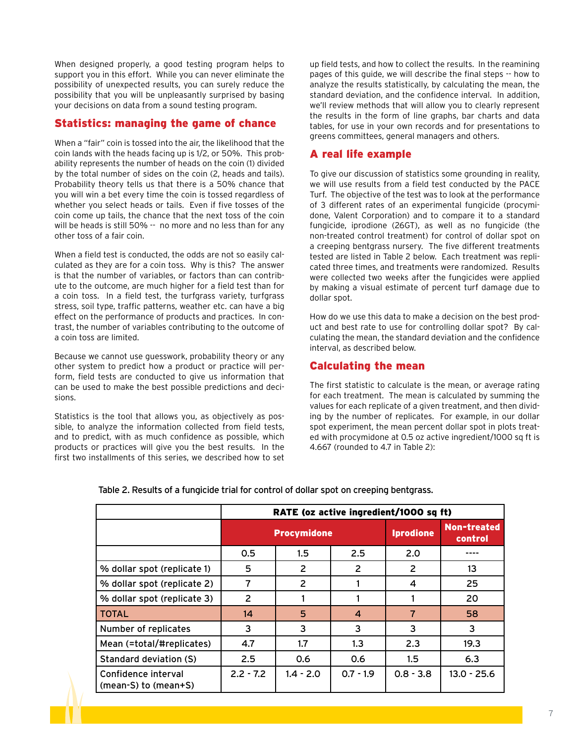When designed properly, a good testing program helps to support you in this effort. While you can never eliminate the possibility of unexpected results, you can surely reduce the possibility that you will be unpleasantly surprised by basing your decisions on data from a sound testing program.

#### Statistics: managing the game of chance

When a "fair" coin is tossed into the air, the likelihood that the coin lands with the heads facing up is 1/2, or 50%. This probability represents the number of heads on the coin (1) divided by the total number of sides on the coin (2, heads and tails). Probability theory tells us that there is a 50% chance that you will win a bet every time the coin is tossed regardless of whether you select heads or tails. Even if five tosses of the coin come up tails, the chance that the next toss of the coin will be heads is still 50% -- no more and no less than for any other toss of a fair coin.

When a field test is conducted, the odds are not so easily calculated as they are for a coin toss. Why is this? The answer is that the number of variables, or factors than can contribute to the outcome, are much higher for a field test than for a coin toss. In a field test, the turfgrass variety, turfgrass stress, soil type, traffic patterns, weather etc. can have a big effect on the performance of products and practices. In contrast, the number of variables contributing to the outcome of a coin toss are limited.

Because we cannot use guesswork, probability theory or any other system to predict how a product or practice will perform, field tests are conducted to give us information that can be used to make the best possible predictions and decisions.

Statistics is the tool that allows you, as objectively as possible, to analyze the information collected from field tests, and to predict, with as much confidence as possible, which products or practices will give you the best results. In the first two installments of this series, we described how to set

up field tests, and how to collect the results. In the reamining pages of this guide, we will describe the final steps -- how to analyze the results statistically, by calculating the mean, the standard deviation, and the confidence interval. In addition, we'll review methods that will allow you to clearly represent the results in the form of line graphs, bar charts and data tables, for use in your own records and for presentations to greens committees, general managers and others.

#### A real life example

To give our discussion of statistics some grounding in reality, we will use results from a field test conducted by the PACE Turf. The objective of the test was to look at the performance of 3 different rates of an experimental fungicide (procymidone, Valent Corporation) and to compare it to a standard fungicide, iprodione (26GT), as well as no fungicide (the non-treated control treatment) for control of dollar spot on a creeping bentgrass nursery. The five different treatments tested are listed in Table 2 below. Each treatment was replicated three times, and treatments were randomized. Results were collected two weeks after the fungicides were applied by making a visual estimate of percent turf damage due to dollar spot.

How do we use this data to make a decision on the best product and best rate to use for controlling dollar spot? By calculating the mean, the standard deviation and the confidence interval, as described below.

#### Calculating the mean

The first statistic to calculate is the mean, or average rating for each treatment. The mean is calculated by summing the values for each replicate of a given treatment, and then dividing by the number of replicates. For example, in our dollar spot experiment, the mean percent dollar spot in plots treated with procymidone at 0.5 oz active ingredient/1000 sq ft is 4.667 (rounded to 4.7 in Table 2):

|                                             | RATE (oz active ingredient/1000 sq ft) |                |                |                  |                               |
|---------------------------------------------|----------------------------------------|----------------|----------------|------------------|-------------------------------|
|                                             | <b>Procymidone</b>                     |                |                | <b>Iprodione</b> | <b>Non-treated</b><br>control |
|                                             | 0.5                                    | 1.5            | 2.5            | 2.0              |                               |
| % dollar spot (replicate 1)                 | 5                                      | $\overline{2}$ | 2              | 2                | 13 <sup>2</sup>               |
| % dollar spot (replicate 2)                 | 7                                      | 2              |                | 4                | 25                            |
| % dollar spot (replicate 3)                 | $\overline{2}$                         |                |                |                  | 20                            |
| <b>TOTAL</b>                                | 14                                     | 5              | $\overline{4}$ | $\overline{7}$   | 58                            |
| Number of replicates                        | 3                                      | 3              | 3              | 3                | 3                             |
| Mean (=total/#replicates)                   | 4.7                                    | 1.7            | 1.3            | 2.3              | 19.3                          |
| Standard deviation (S)                      | 2.5                                    | 0.6            | 0.6            | $1.5\,$          | 6.3                           |
| Confidence interval<br>(mean-S) to (mean+S) | $2.2 - 7.2$                            | $1.4 - 2.0$    | $0.7 - 1.9$    | $0.8 - 3.8$      | $13.0 - 25.6$                 |
|                                             |                                        |                |                |                  |                               |

Table 2. Results of a fungicide trial for control of dollar spot on creeping bentgrass.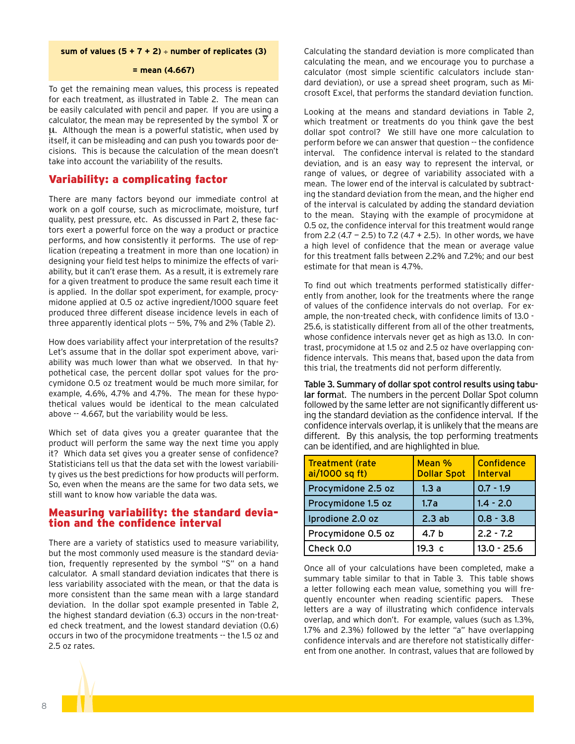#### **sum of values (5 + 7 + 2)** ÷ **number of replicates (3)**

#### **= mean (4.667)**

To get the remaining mean values, this process is repeated for each treatment, as illustrated in Table 2. The mean can be easily calculated with pencil and paper. If you are using a calculator, the mean may be represented by the symbol  $\bar{x}$  or μ. Although the mean is a powerful statistic, when used by itself, it can be misleading and can push you towards poor decisions. This is because the calculation of the mean doesn't take into account the variability of the results.

#### Variability: a complicating factor

There are many factors beyond our immediate control at work on a golf course, such as microclimate, moisture, turf quality, pest pressure, etc. As discussed in Part 2, these factors exert a powerful force on the way a product or practice performs, and how consistently it performs. The use of replication (repeating a treatment in more than one location) in designing your field test helps to minimize the effects of variability, but it can't erase them. As a result, it is extremely rare for a given treatment to produce the same result each time it is applied. In the dollar spot experiment, for example, procymidone applied at 0.5 oz active ingredient/1000 square feet produced three different disease incidence levels in each of three apparently identical plots -- 5%, 7% and 2% (Table 2).

How does variability affect your interpretation of the results? Let's assume that in the dollar spot experiment above, variability was much lower than what we observed. In that hypothetical case, the percent dollar spot values for the procymidone 0.5 oz treatment would be much more similar, for example, 4.6%, 4.7% and 4.7%. The mean for these hypothetical values would be identical to the mean calculated above -- 4.667, but the variability would be less.

Which set of data gives you a greater guarantee that the product will perform the same way the next time you apply it? Which data set gives you a greater sense of confidence? Statisticians tell us that the data set with the lowest variability gives us the best predictions for how products will perform. So, even when the means are the same for two data sets, we still want to know how variable the data was.

### Measuring variability: the standard devia- tion and the confidence interval

There are a variety of statistics used to measure variability, but the most commonly used measure is the standard deviation, frequently represented by the symbol "S" on a hand calculator. A small standard deviation indicates that there is less variability associated with the mean, or that the data is more consistent than the same mean with a large standard deviation. In the dollar spot example presented in Table 2, the highest standard deviation (6.3) occurs in the non-treated check treatment, and the lowest standard deviation (0.6) occurs in two of the procymidone treatments -- the 1.5 oz and 2.5 oz rates.

Calculating the standard deviation is more complicated than calculating the mean, and we encourage you to purchase a calculator (most simple scientific calculators include standard deviation), or use a spread sheet program, such as Microsoft Excel, that performs the standard deviation function.

Looking at the means and standard deviations in Table 2, which treatment or treatments do you think gave the best dollar spot control? We still have one more calculation to perform before we can answer that question -- the confidence interval. The confidence interval is related to the standard deviation, and is an easy way to represent the interval, or range of values, or degree of variability associated with a mean. The lower end of the interval is calculated by subtracting the standard deviation from the mean, and the higher end of the interval is calculated by adding the standard deviation to the mean. Staying with the example of procymidone at 0.5 oz, the confidence interval for this treatment would range from 2.2 (4.7 - 2.5) to 7.2 (4.7 + 2.5). In other words, we have a high level of confidence that the mean or average value for this treatment falls between 2.2% and 7.2%; and our best estimate for that mean is 4.7%.

To find out which treatments performed statistically differently from another, look for the treatments where the range of values of the confidence intervals do not overlap. For example, the non-treated check, with confidence limits of 13.0 - 25.6, is statistically different from all of the other treatments, whose confidence intervals never get as high as 13.0. In contrast, procymidone at 1.5 oz and 2.5 oz have overlapping confidence intervals. This means that, based upon the data from this trial, the treatments did not perform differently.

Table 3. Summary of dollar spot control results using tabular format. The numbers in the percent Dollar Spot column followed by the same letter are not significantly different using the standard deviation as the confidence interval. If the confidence intervals overlap, it is unlikely that the means are different. By this analysis, the top performing treatments can be identified, and are highlighted in blue.

| <b>Treatment (rate</b><br>ai/1000 sq ft) | Mean %<br><b>Dollar Spot</b> | <b>Confidence</b><br><b>Interval</b> |
|------------------------------------------|------------------------------|--------------------------------------|
| Procymidone 2.5 oz                       | 1.3a                         | $0.7 - 1.9$                          |
| Procymidone 1.5 oz                       | 1.7a                         | $1.4 - 2.0$                          |
| Iprodione 2.0 oz                         | 2.3ab                        | $0.8 - 3.8$                          |
| Procymidone 0.5 oz                       | 4.7 b                        | $2.2 - 7.2$                          |
| Check 0.0                                | 19.3 c                       | $13.0 - 25.6$                        |

Once all of your calculations have been completed, make a summary table similar to that in Table 3. This table shows a letter following each mean value, something you will frequently encounter when reading scientific papers. These letters are a way of illustrating which confidence intervals overlap, and which don't. For example, values (such as 1.3%, 1.7% and 2.3%) followed by the letter "a" have overlapping confidence intervals and are therefore not statistically different from one another. In contrast, values that are followed by